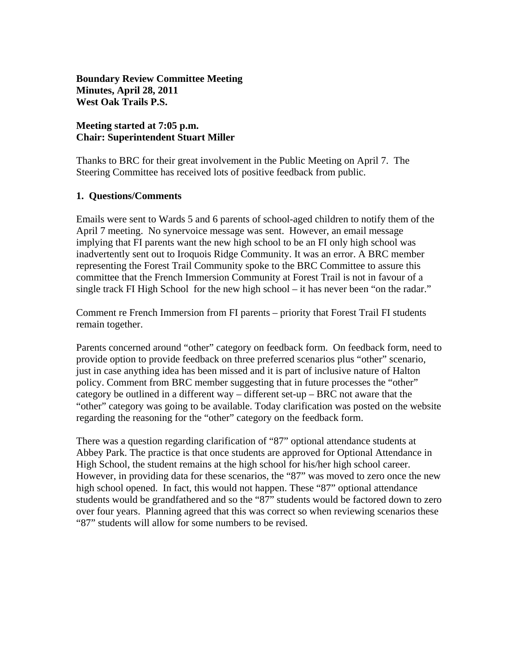**Boundary Review Committee Meeting Minutes, April 28, 2011 West Oak Trails P.S.** 

### **Meeting started at 7:05 p.m. Chair: Superintendent Stuart Miller**

Thanks to BRC for their great involvement in the Public Meeting on April 7. The Steering Committee has received lots of positive feedback from public.

#### **1. Questions/Comments**

Emails were sent to Wards 5 and 6 parents of school-aged children to notify them of the April 7 meeting. No synervoice message was sent. However, an email message implying that FI parents want the new high school to be an FI only high school was inadvertently sent out to Iroquois Ridge Community. It was an error. A BRC member representing the Forest Trail Community spoke to the BRC Committee to assure this committee that the French Immersion Community at Forest Trail is not in favour of a single track FI High School for the new high school – it has never been "on the radar."

Comment re French Immersion from FI parents – priority that Forest Trail FI students remain together.

Parents concerned around "other" category on feedback form. On feedback form, need to provide option to provide feedback on three preferred scenarios plus "other" scenario, just in case anything idea has been missed and it is part of inclusive nature of Halton policy. Comment from BRC member suggesting that in future processes the "other" category be outlined in a different way – different set-up – BRC not aware that the "other" category was going to be available. Today clarification was posted on the website regarding the reasoning for the "other" category on the feedback form.

There was a question regarding clarification of "87" optional attendance students at Abbey Park. The practice is that once students are approved for Optional Attendance in High School, the student remains at the high school for his/her high school career. However, in providing data for these scenarios, the "87" was moved to zero once the new high school opened. In fact, this would not happen. These "87" optional attendance students would be grandfathered and so the "87" students would be factored down to zero over four years. Planning agreed that this was correct so when reviewing scenarios these "87" students will allow for some numbers to be revised.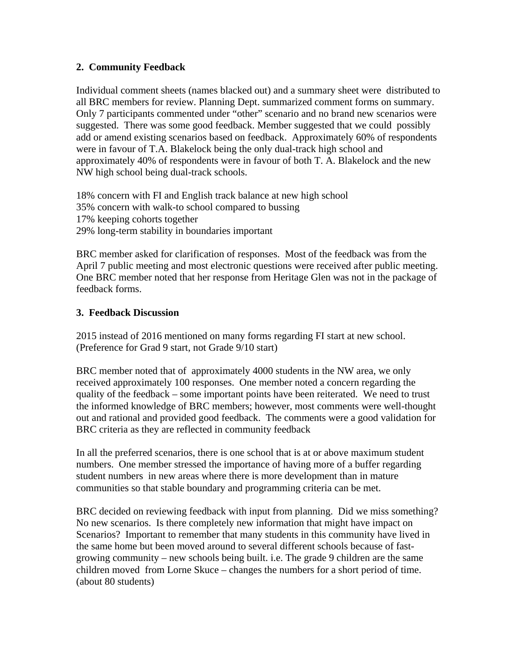# **2. Community Feedback**

Individual comment sheets (names blacked out) and a summary sheet were distributed to all BRC members for review. Planning Dept. summarized comment forms on summary. Only 7 participants commented under "other" scenario and no brand new scenarios were suggested. There was some good feedback. Member suggested that we could possibly add or amend existing scenarios based on feedback. Approximately 60% of respondents were in favour of T.A. Blakelock being the only dual-track high school and approximately 40% of respondents were in favour of both T. A. Blakelock and the new NW high school being dual-track schools.

18% concern with FI and English track balance at new high school 35% concern with walk-to school compared to bussing 17% keeping cohorts together 29% long-term stability in boundaries important

BRC member asked for clarification of responses. Most of the feedback was from the April 7 public meeting and most electronic questions were received after public meeting. One BRC member noted that her response from Heritage Glen was not in the package of feedback forms.

# **3. Feedback Discussion**

2015 instead of 2016 mentioned on many forms regarding FI start at new school. (Preference for Grad 9 start, not Grade 9/10 start)

BRC member noted that of approximately 4000 students in the NW area, we only received approximately 100 responses. One member noted a concern regarding the quality of the feedback – some important points have been reiterated. We need to trust the informed knowledge of BRC members; however, most comments were well-thought out and rational and provided good feedback. The comments were a good validation for BRC criteria as they are reflected in community feedback

In all the preferred scenarios, there is one school that is at or above maximum student numbers. One member stressed the importance of having more of a buffer regarding student numbers in new areas where there is more development than in mature communities so that stable boundary and programming criteria can be met.

BRC decided on reviewing feedback with input from planning. Did we miss something? No new scenarios. Is there completely new information that might have impact on Scenarios? Important to remember that many students in this community have lived in the same home but been moved around to several different schools because of fastgrowing community – new schools being built. i.e. The grade 9 children are the same children moved from Lorne Skuce – changes the numbers for a short period of time. (about 80 students)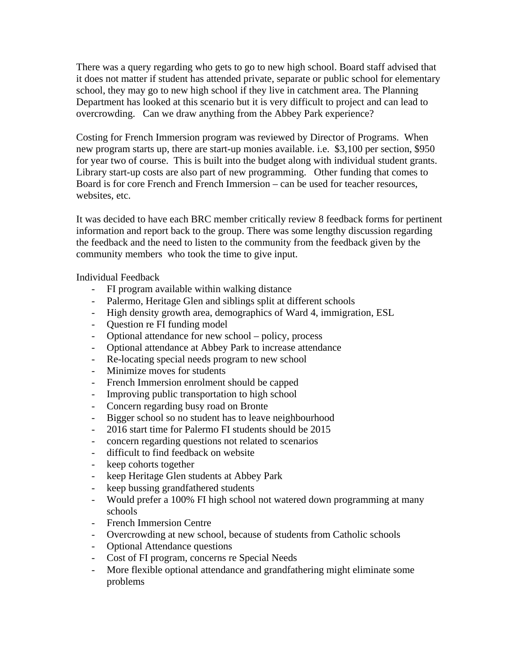There was a query regarding who gets to go to new high school. Board staff advised that it does not matter if student has attended private, separate or public school for elementary school, they may go to new high school if they live in catchment area. The Planning Department has looked at this scenario but it is very difficult to project and can lead to overcrowding. Can we draw anything from the Abbey Park experience?

Costing for French Immersion program was reviewed by Director of Programs. When new program starts up, there are start-up monies available. i.e. \$3,100 per section, \$950 for year two of course. This is built into the budget along with individual student grants. Library start-up costs are also part of new programming. Other funding that comes to Board is for core French and French Immersion – can be used for teacher resources, websites, etc.

It was decided to have each BRC member critically review 8 feedback forms for pertinent information and report back to the group. There was some lengthy discussion regarding the feedback and the need to listen to the community from the feedback given by the community members who took the time to give input.

Individual Feedback

- FI program available within walking distance
- Palermo, Heritage Glen and siblings split at different schools
- High density growth area, demographics of Ward 4, immigration, ESL
- Question re FI funding model
- Optional attendance for new school policy, process
- Optional attendance at Abbey Park to increase attendance
- Re-locating special needs program to new school
- Minimize moves for students
- French Immersion enrolment should be capped
- Improving public transportation to high school
- Concern regarding busy road on Bronte
- Bigger school so no student has to leave neighbourhood
- 2016 start time for Palermo FI students should be 2015
- concern regarding questions not related to scenarios
- difficult to find feedback on website
- keep cohorts together
- keep Heritage Glen students at Abbey Park
- keep bussing grandfathered students
- Would prefer a 100% FI high school not watered down programming at many schools
- French Immersion Centre
- Overcrowding at new school, because of students from Catholic schools
- Optional Attendance questions
- Cost of FI program, concerns re Special Needs
- More flexible optional attendance and grandfathering might eliminate some problems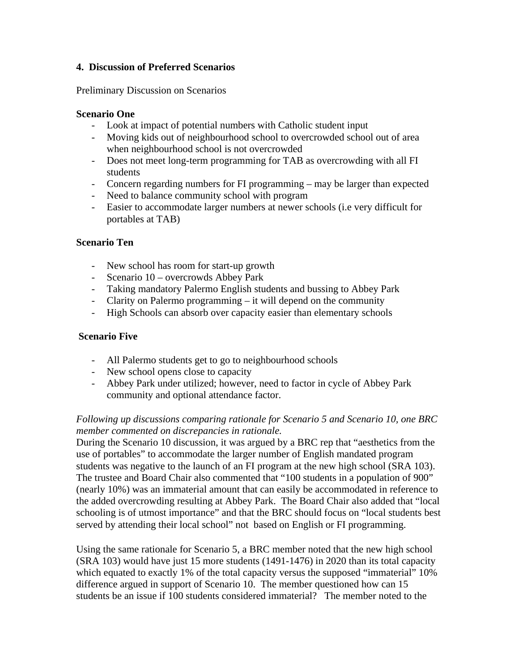# **4. Discussion of Preferred Scenarios**

Preliminary Discussion on Scenarios

### **Scenario One**

- Look at impact of potential numbers with Catholic student input
- Moving kids out of neighbourhood school to overcrowded school out of area when neighbourhood school is not overcrowded
- Does not meet long-term programming for TAB as overcrowding with all FI students
- Concern regarding numbers for FI programming may be larger than expected
- Need to balance community school with program
- Easier to accommodate larger numbers at newer schools (i.e very difficult for portables at TAB)

#### **Scenario Ten**

- New school has room for start-up growth
- Scenario 10 overcrowds Abbey Park
- Taking mandatory Palermo English students and bussing to Abbey Park
- Clarity on Palermo programming it will depend on the community
- High Schools can absorb over capacity easier than elementary schools

#### **Scenario Five**

- All Palermo students get to go to neighbourhood schools
- New school opens close to capacity
- Abbey Park under utilized; however, need to factor in cycle of Abbey Park community and optional attendance factor.

# *Following up discussions comparing rationale for Scenario 5 and Scenario 10, one BRC member commented on discrepancies in rationale.*

During the Scenario 10 discussion, it was argued by a BRC rep that "aesthetics from the use of portables" to accommodate the larger number of English mandated program students was negative to the launch of an FI program at the new high school (SRA 103). The trustee and Board Chair also commented that "100 students in a population of 900" (nearly 10%) was an immaterial amount that can easily be accommodated in reference to the added overcrowding resulting at Abbey Park. The Board Chair also added that "local schooling is of utmost importance" and that the BRC should focus on "local students best served by attending their local school" not based on English or FI programming.

Using the same rationale for Scenario 5, a BRC member noted that the new high school (SRA 103) would have just 15 more students (1491-1476) in 2020 than its total capacity which equated to exactly 1% of the total capacity versus the supposed "immaterial" 10% difference argued in support of Scenario 10. The member questioned how can 15 students be an issue if 100 students considered immaterial? The member noted to the